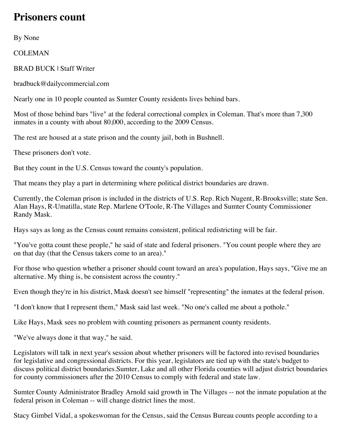## **Prisoners count**

By None

COLEMAN

BRAD BUCK | Staff Writer

bradbuck@dailycommercial.com

Nearly one in 10 people counted as Sumter County residents lives behind bars.

Most of those behind bars "live" at the federal correctional complex in Coleman. That's more than 7,300 inmates in a county with about 80,000, according to the 2009 Census.

The rest are housed at a state prison and the county jail, both in Bushnell.

These prisoners don't vote.

But they count in the U.S. Census toward the county's population.

That means they play a part in determining where political district boundaries are drawn.

Currently, the Coleman prison is included in the districts of U.S. Rep. Rich Nugent, R-Brooksville; state Sen. Alan Hays, R-Umatilla, state Rep. Marlene O'Toole, R-The Villages and Sumter County Commissioner Randy Mask.

Hays says as long as the Census count remains consistent, political redistricting will be fair.

"You've gotta count these people," he said of state and federal prisoners. "You count people where they are on that day (that the Census takers come to an area)."

For those who question whether a prisoner should count toward an area's population, Hays says, "Give me an alternative. My thing is, be consistent across the country."

Even though they're in his district, Mask doesn't see himself "representing" the inmates at the federal prison.

"I don't know that I represent them," Mask said last week. "No one's called me about a pothole."

Like Hays, Mask sees no problem with counting prisoners as permanent county residents.

"We've always done it that way," he said.

Legislators will talk in next year's session about whether prisoners will be factored into revised boundaries for legislative and congressional districts. For this year, legislators are tied up with the state's budget to discuss political district boundaries.Sumter, Lake and all other Florida counties will adjust district boundaries for county commissioners after the 2010 Census to comply with federal and state law.

Sumter County Administrator Bradley Arnold said growth in The Villages -- not the inmate population at the federal prison in Coleman -- will change district lines the most.

Stacy Gimbel Vidal, a spokeswoman for the Census, said the Census Bureau counts people according to a